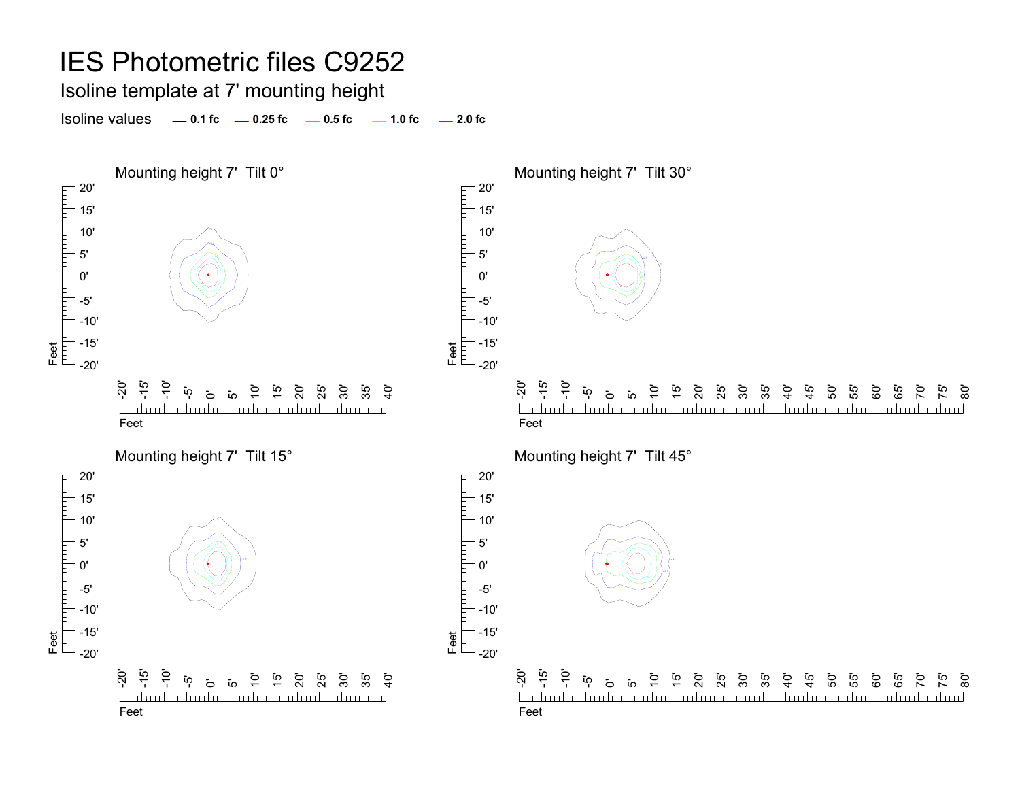Isoline template at 7' mounting height

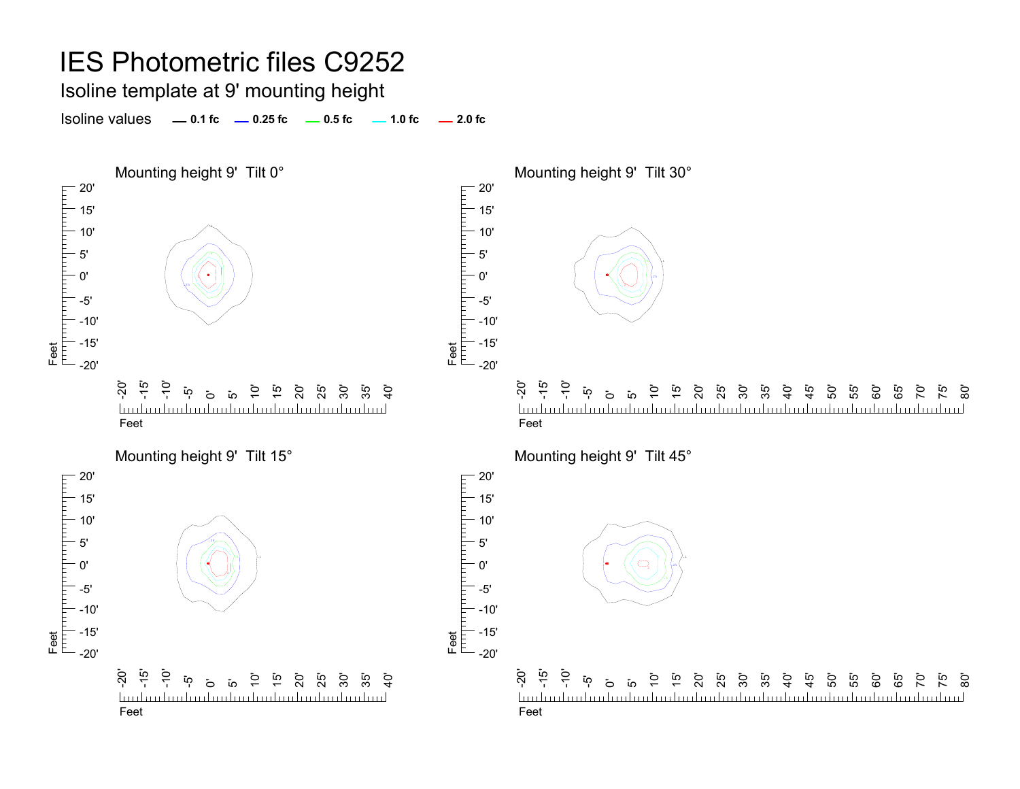Isoline template at 9' mounting height

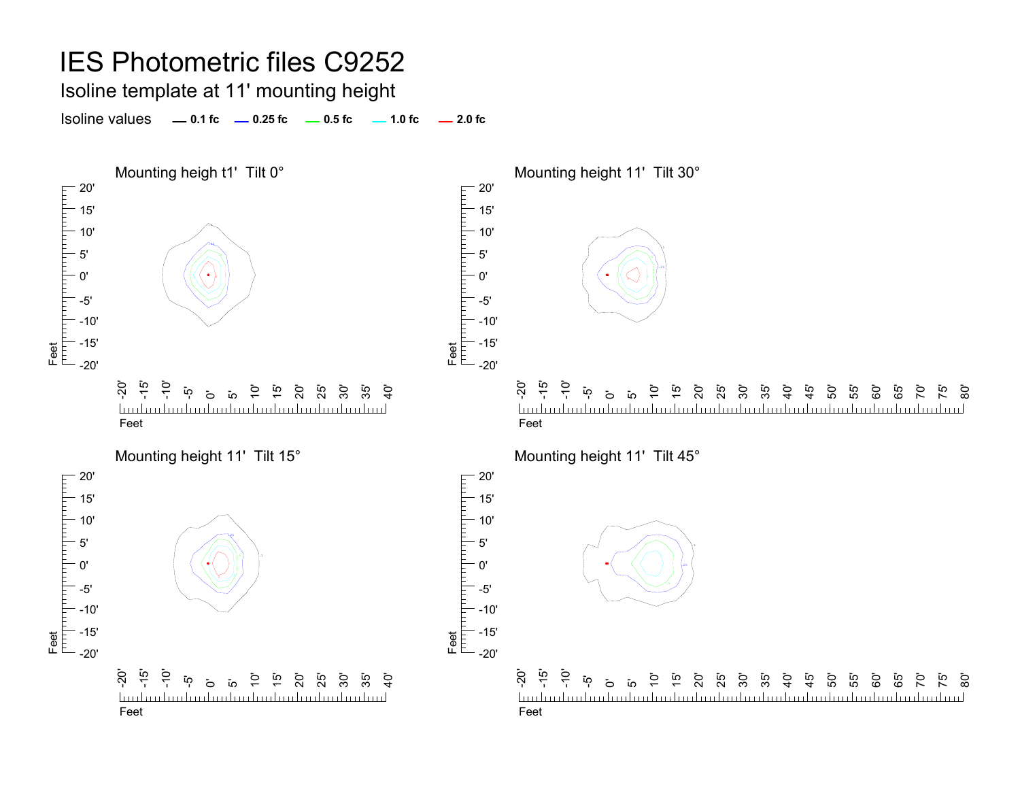Isoline template at 11' mounting height

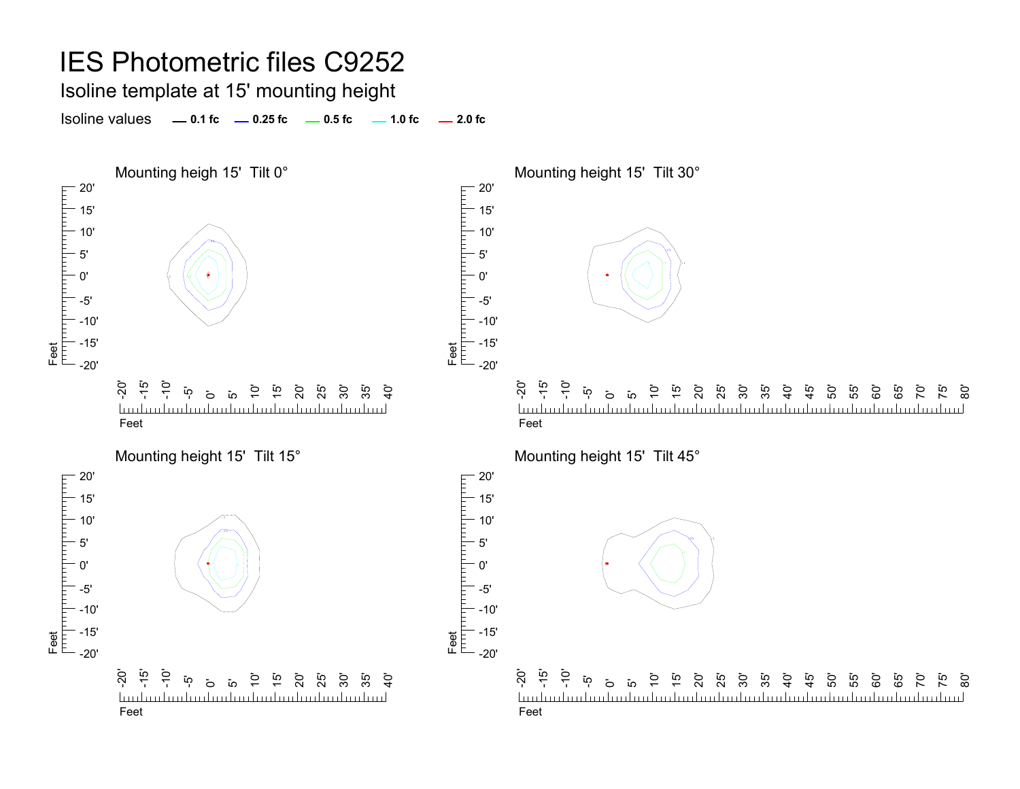Isoline template at 15' mounting height

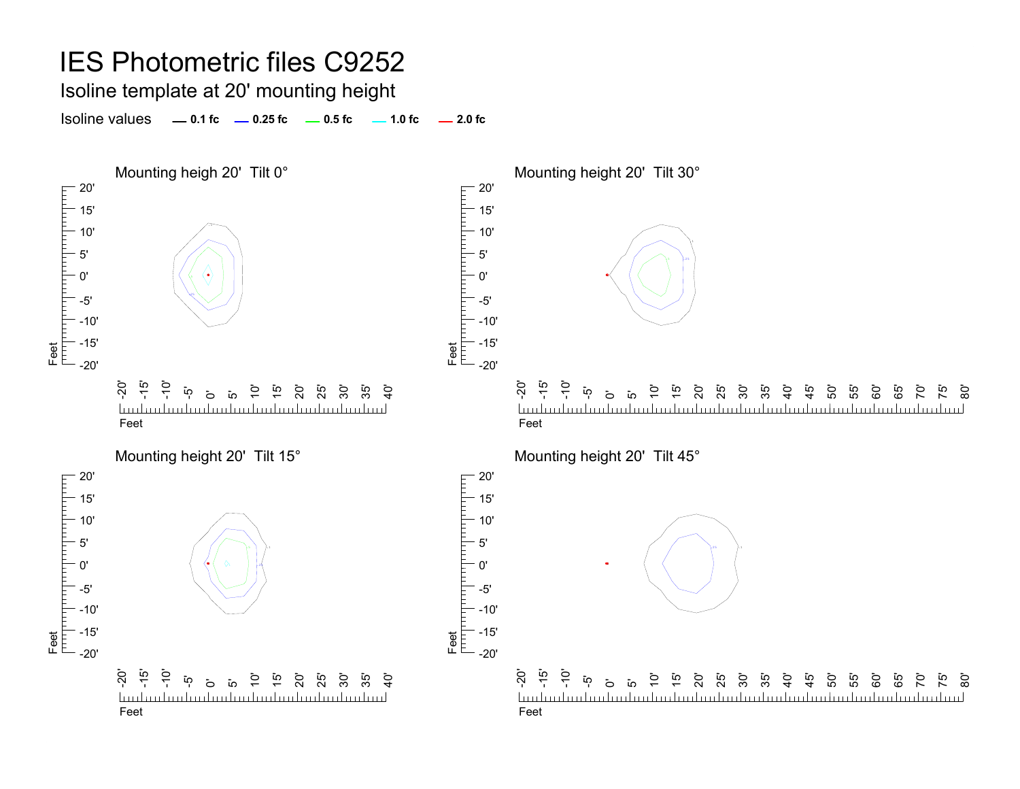Isoline template at 20' mounting height

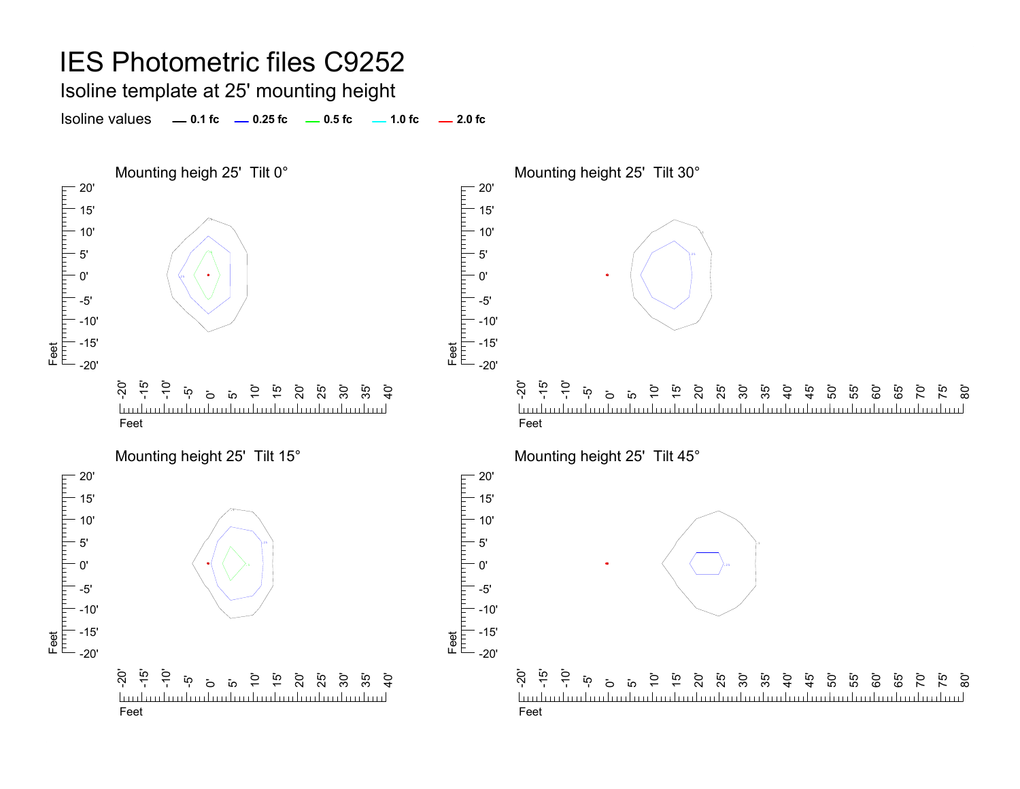Isoline template at 25' mounting height

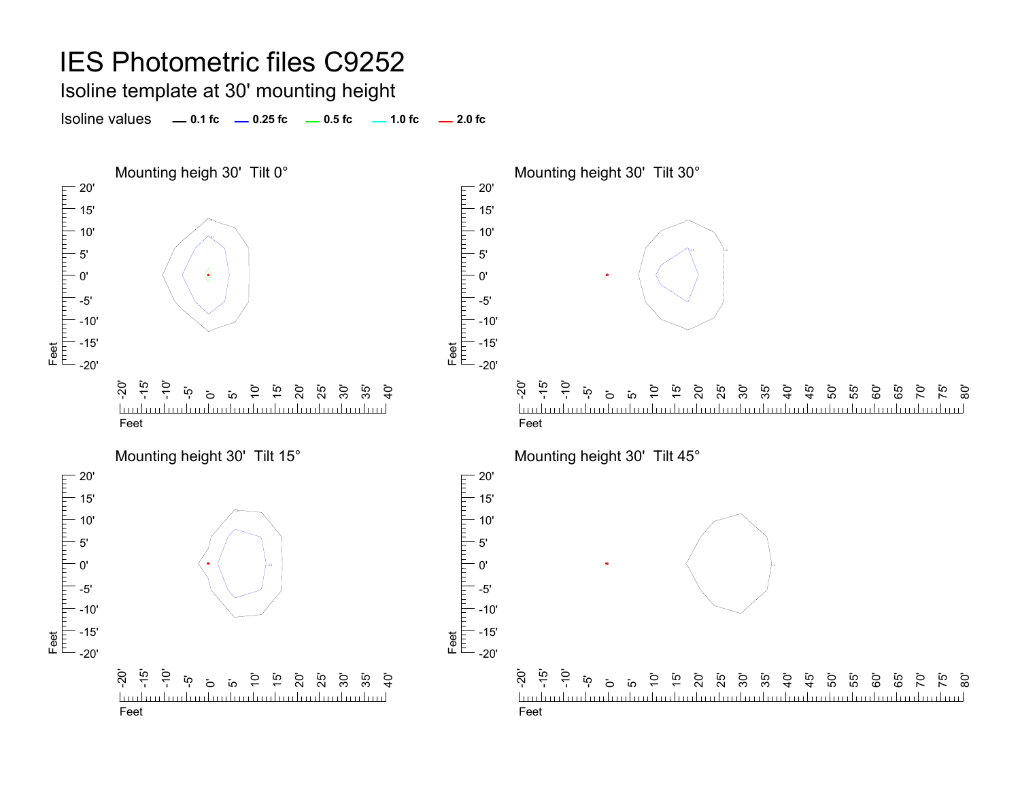Isoline template at 30' mounting height